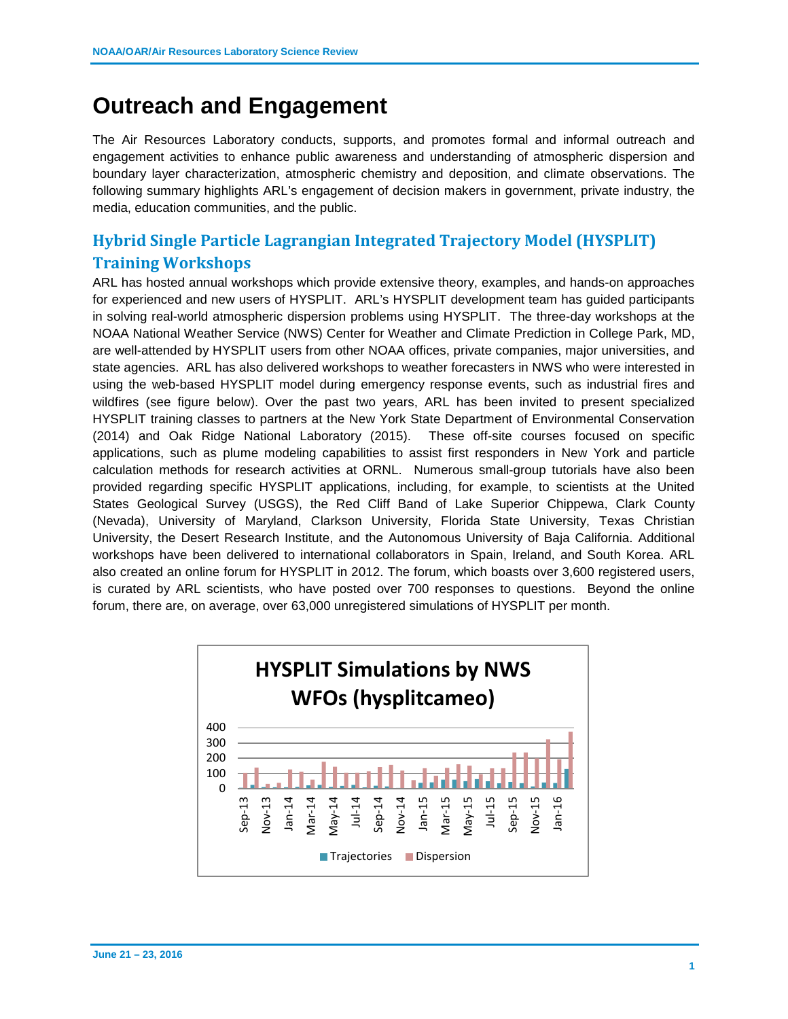## **Outreach and Engagement**

The Air Resources Laboratory conducts, supports, and promotes formal and informal outreach and engagement activities to enhance public awareness and understanding of atmospheric dispersion and boundary layer characterization, atmospheric chemistry and deposition, and climate observations. The following summary highlights ARL's engagement of decision makers in government, private industry, the media, education communities, and the public.

## **Hybrid Single Particle Lagrangian Integrated Trajectory Model (HYSPLIT) Training Workshops**

ARL has hosted annual workshops which provide extensive theory, examples, and hands-on approaches for experienced and new users of HYSPLIT. ARL's HYSPLIT development team has guided participants in solving real-world atmospheric dispersion problems using HYSPLIT. The three-day workshops at the NOAA National Weather Service (NWS) Center for Weather and Climate Prediction in College Park, MD, are well-attended by HYSPLIT users from other NOAA offices, private companies, major universities, and state agencies. ARL has also delivered workshops to weather forecasters in NWS who were interested in using the web-based HYSPLIT model during emergency response events, such as industrial fires and wildfires (see figure below). Over the past two years, ARL has been invited to present specialized HYSPLIT training classes to partners at the New York State Department of Environmental Conservation (2014) and Oak Ridge National Laboratory (2015). These off-site courses focused on specific applications, such as plume modeling capabilities to assist first responders in New York and particle calculation methods for research activities at ORNL. Numerous small-group tutorials have also been provided regarding specific HYSPLIT applications, including, for example, to scientists at the United States Geological Survey (USGS), the Red Cliff Band of Lake Superior Chippewa, Clark County (Nevada), University of Maryland, Clarkson University, Florida State University, Texas Christian University, the Desert Research Institute, and the Autonomous University of Baja California. Additional workshops have been delivered to international collaborators in Spain, Ireland, and South Korea. ARL also created an online forum for HYSPLIT in 2012. The forum, which boasts over 3,600 registered users, is curated by ARL scientists, who have posted over 700 responses to questions. Beyond the online forum, there are, on average, over 63,000 unregistered simulations of HYSPLIT per month.

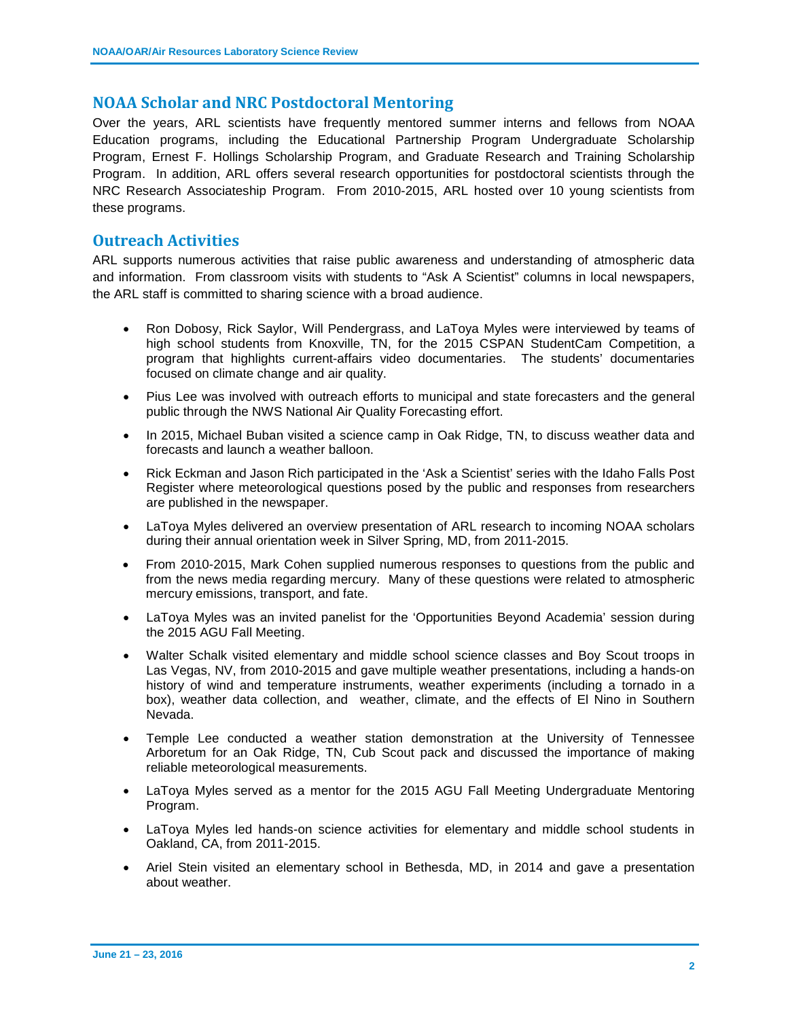## **NOAA Scholar and NRC Postdoctoral Mentoring**

Over the years, ARL scientists have frequently mentored summer interns and fellows from NOAA Education programs, including the Educational Partnership Program Undergraduate Scholarship Program, Ernest F. Hollings Scholarship Program, and Graduate Research and Training Scholarship Program. In addition, ARL offers several research opportunities for postdoctoral scientists through the NRC Research Associateship Program. From 2010-2015, ARL hosted over 10 young scientists from these programs.

## **Outreach Activities**

ARL supports numerous activities that raise public awareness and understanding of atmospheric data and information. From classroom visits with students to "Ask A Scientist" columns in local newspapers, the ARL staff is committed to sharing science with a broad audience.

- Ron Dobosy, Rick Saylor, Will Pendergrass, and LaToya Myles were interviewed by teams of high school students from Knoxville, TN, for the 2015 CSPAN StudentCam Competition, a program that highlights current-affairs video documentaries. The students' documentaries focused on climate change and air quality.
- Pius Lee was involved with outreach efforts to municipal and state forecasters and the general public through the NWS National Air Quality Forecasting effort.
- In 2015, Michael Buban visited a science camp in Oak Ridge, TN, to discuss weather data and forecasts and launch a weather balloon.
- Rick Eckman and Jason Rich participated in the 'Ask a Scientist' series with the Idaho Falls Post Register where meteorological questions posed by the public and responses from researchers are published in the newspaper.
- LaToya Myles delivered an overview presentation of ARL research to incoming NOAA scholars during their annual orientation week in Silver Spring, MD, from 2011-2015.
- From 2010-2015, Mark Cohen supplied numerous responses to questions from the public and from the news media regarding mercury. Many of these questions were related to atmospheric mercury emissions, transport, and fate.
- LaToya Myles was an invited panelist for the 'Opportunities Beyond Academia' session during the 2015 AGU Fall Meeting.
- Walter Schalk visited elementary and middle school science classes and Boy Scout troops in Las Vegas, NV, from 2010-2015 and gave multiple weather presentations, including a hands-on history of wind and temperature instruments, weather experiments (including a tornado in a box), weather data collection, and weather, climate, and the effects of El Nino in Southern Nevada.
- Temple Lee conducted a weather station demonstration at the University of Tennessee Arboretum for an Oak Ridge, TN, Cub Scout pack and discussed the importance of making reliable meteorological measurements.
- LaToya Myles served as a mentor for the 2015 AGU Fall Meeting Undergraduate Mentoring Program.
- LaToya Myles led hands-on science activities for elementary and middle school students in Oakland, CA, from 2011-2015.
- Ariel Stein visited an elementary school in Bethesda, MD, in 2014 and gave a presentation about weather.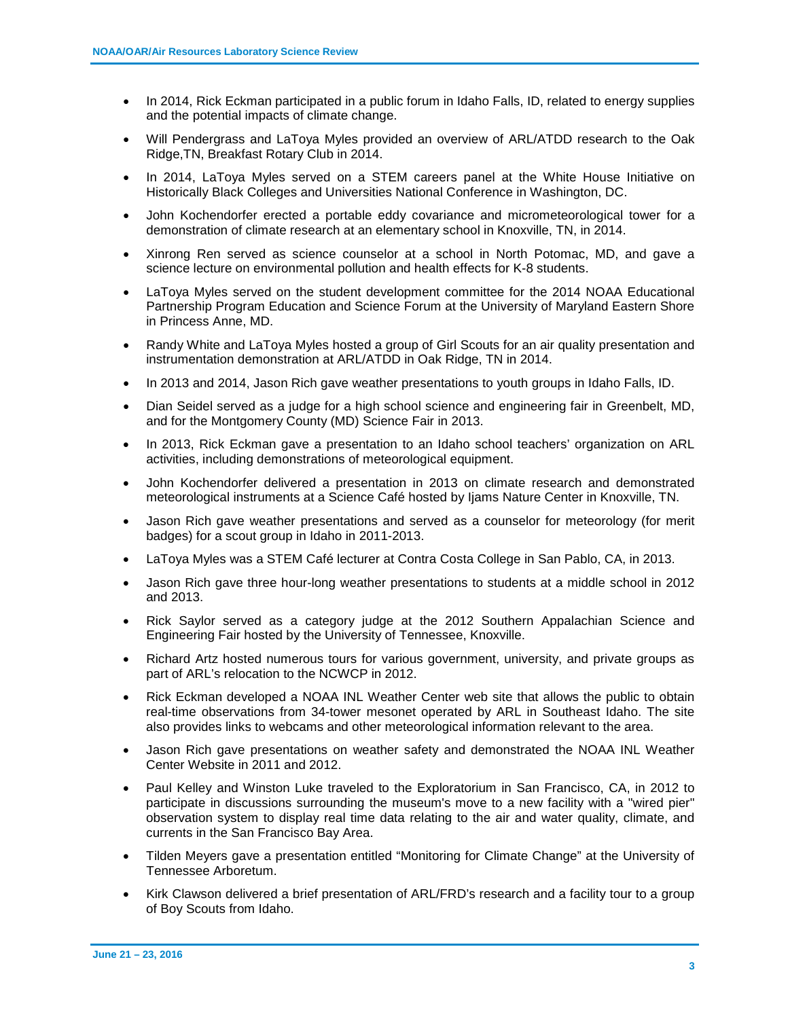- In 2014, Rick Eckman participated in a public forum in Idaho Falls, ID, related to energy supplies and the potential impacts of climate change.
- Will Pendergrass and LaToya Myles provided an overview of ARL/ATDD research to the Oak Ridge,TN, Breakfast Rotary Club in 2014.
- In 2014, LaToya Myles served on a STEM careers panel at the White House Initiative on Historically Black Colleges and Universities National Conference in Washington, DC.
- John Kochendorfer erected a portable eddy covariance and micrometeorological tower for a demonstration of climate research at an elementary school in Knoxville, TN, in 2014.
- Xinrong Ren served as science counselor at a school in North Potomac, MD, and gave a science lecture on environmental pollution and health effects for K-8 students.
- LaToya Myles served on the student development committee for the 2014 NOAA Educational Partnership Program Education and Science Forum at the University of Maryland Eastern Shore in Princess Anne, MD.
- Randy White and LaToya Myles hosted a group of Girl Scouts for an air quality presentation and instrumentation demonstration at ARL/ATDD in Oak Ridge, TN in 2014.
- In 2013 and 2014, Jason Rich gave weather presentations to youth groups in Idaho Falls, ID.
- Dian Seidel served as a judge for a high school science and engineering fair in Greenbelt, MD, and for the Montgomery County (MD) Science Fair in 2013.
- In 2013, Rick Eckman gave a presentation to an Idaho school teachers' organization on ARL activities, including demonstrations of meteorological equipment.
- John Kochendorfer delivered a presentation in 2013 on climate research and demonstrated meteorological instruments at a Science Café hosted by Ijams Nature Center in Knoxville, TN.
- Jason Rich gave weather presentations and served as a counselor for meteorology (for merit badges) for a scout group in Idaho in 2011-2013.
- LaToya Myles was a STEM Café lecturer at Contra Costa College in San Pablo, CA, in 2013.
- Jason Rich gave three hour-long weather presentations to students at a middle school in 2012 and 2013.
- Rick Saylor served as a category judge at the 2012 Southern Appalachian Science and Engineering Fair hosted by the University of Tennessee, Knoxville.
- Richard Artz hosted numerous tours for various government, university, and private groups as part of ARL's relocation to the NCWCP in 2012.
- Rick Eckman developed a NOAA INL Weather Center web site that allows the public to obtain real-time observations from 34-tower mesonet operated by ARL in Southeast Idaho. The site also provides links to webcams and other meteorological information relevant to the area.
- Jason Rich gave presentations on weather safety and demonstrated the NOAA INL Weather Center Website in 2011 and 2012.
- Paul Kelley and Winston Luke traveled to the Exploratorium in San Francisco, CA, in 2012 to participate in discussions surrounding the museum's move to a new facility with a "wired pier" observation system to display real time data relating to the air and water quality, climate, and currents in the San Francisco Bay Area.
- Tilden Meyers gave a presentation entitled "Monitoring for Climate Change" at the University of Tennessee Arboretum.
- Kirk Clawson delivered a brief presentation of ARL/FRD's research and a facility tour to a group of Boy Scouts from Idaho.